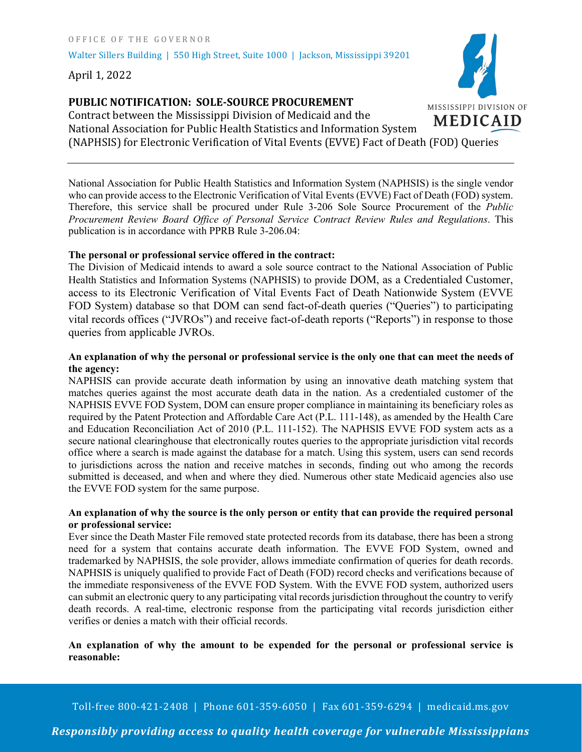Walter Sillers Building | 550 High Street, Suite 1000 | Jackson, Mississippi 39201

April 1, 2022

# **PUBLIC NOTIFICATION: SOLE-SOURCE PROCUREMENT**

Contract between the Mississippi Division of Medicaid and the National Association for Public Health Statistics and Information System (NAPHSIS) for Electronic Verification of Vital Events (EVVE) Fact of Death (FOD) Queries

National Association for Public Health Statistics and Information System (NAPHSIS) is the single vendor who can provide access to the Electronic Verification of Vital Events (EVVE) Fact of Death (FOD) system. Therefore, this service shall be procured under Rule 3-206 Sole Source Procurement of the *Public Procurement Review Board Office of Personal Service Contract Review Rules and Regulations*. This publication is in accordance with PPRB Rule 3-206.04:

#### **The personal or professional service offered in the contract:**

The Division of Medicaid intends to award a sole source contract to the National Association of Public Health Statistics and Information Systems (NAPHSIS) to provide DOM, as a Credentialed Customer, access to its Electronic Verification of Vital Events Fact of Death Nationwide System (EVVE FOD System) database so that DOM can send fact-of-death queries ("Queries") to participating vital records offices ("JVROs") and receive fact-of-death reports ("Reports") in response to those queries from applicable JVROs.

## **An explanation of why the personal or professional service is the only one that can meet the needs of the agency:**

NAPHSIS can provide accurate death information by using an innovative death matching system that matches queries against the most accurate death data in the nation. As a credentialed customer of the NAPHSIS EVVE FOD System, DOM can ensure proper compliance in maintaining its beneficiary roles as required by the Patent Protection and Affordable Care Act (P.L. 111-148), as amended by the Health Care and Education Reconciliation Act of 2010 (P.L. 111-152). The NAPHSIS EVVE FOD system acts as a secure national clearinghouse that electronically routes queries to the appropriate jurisdiction vital records office where a search is made against the database for a match. Using this system, users can send records to jurisdictions across the nation and receive matches in seconds, finding out who among the records submitted is deceased, and when and where they died. Numerous other state Medicaid agencies also use the EVVE FOD system for the same purpose.

### **An explanation of why the source is the only person or entity that can provide the required personal or professional service:**

Ever since the Death Master File removed state protected records from its database, there has been a strong need for a system that contains accurate death information. The EVVE FOD System, owned and trademarked by NAPHSIS, the sole provider, allows immediate confirmation of queries for death records. NAPHSIS is uniquely qualified to provide Fact of Death (FOD) record checks and verifications because of the immediate responsiveness of the EVVE FOD System. With the EVVE FOD system, authorized users can submit an electronic query to any participating vital records jurisdiction throughout the country to verify death records. A real-time, electronic response from the participating vital records jurisdiction either verifies or denies a match with their official records.

## **An explanation of why the amount to be expended for the personal or professional service is reasonable:**

Toll-free 800-421-2408 | Phone 601-359-6050 | Fax 601-359-6294 | medicaid.ms.gov